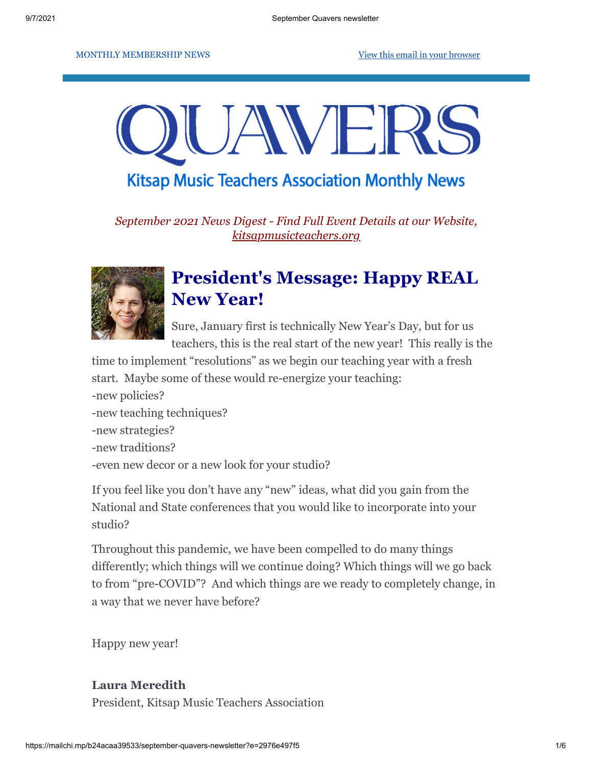#### MONTHLY MEMBERSHIP NEWS [View this email in your browser](https://mailchi.mp/b24acaa39533/september-quavers-newsletter?e=2976e497f5)



### **Kitsap Music Teachers Association Monthly News**

*September 2021 News Digest - Find Full Event Details at our Website, [kitsapmusicteachers.org](http://www.kitsapmusicteachers.org/)*



# **President's Message: Happy REAL New Year!**

Sure, January first is technically New Year's Day, but for us teachers, this is the real start of the new year! This really is the

time to implement "resolutions" as we begin our teaching year with a fresh start. Maybe some of these would re-energize your teaching: -new policies?

- -new teaching techniques?
- -new strategies?
- -new traditions?
- -even new decor or a new look for your studio?

If you feel like you don't have any "new" ideas, what did you gain from the National and State conferences that you would like to incorporate into your studio?

Throughout this pandemic, we have been compelled to do many things differently; which things will we continue doing? Which things will we go back to from "pre-COVID"? And which things are we ready to completely change, in a way that we never have before?

Happy new year!

#### **Laura Meredith**

President, Kitsap Music Teachers Association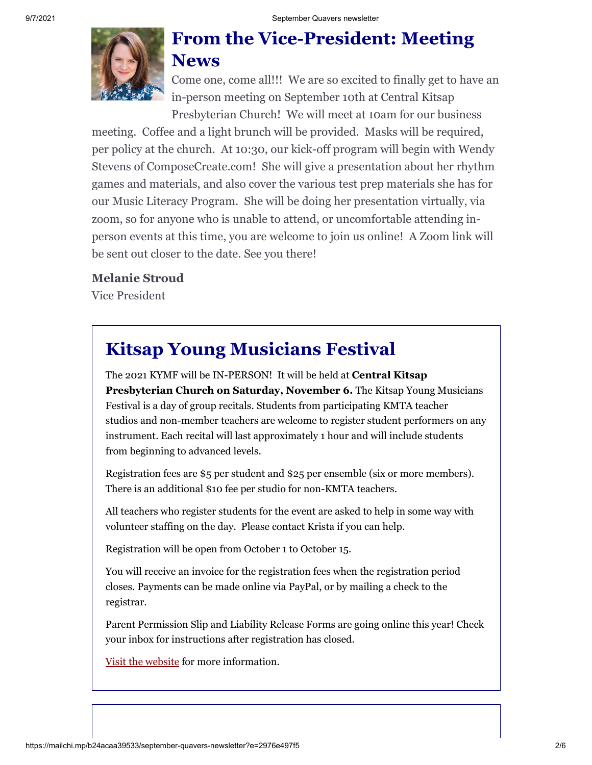

### **From the Vice-President: Meeting News**

Come one, come all!!! We are so excited to finally get to have an in-person meeting on September 10th at Central Kitsap Presbyterian Church! We will meet at 10am for our business

meeting. Coffee and a light brunch will be provided. Masks will be required, per policy at the church. At 10:30, our kick-off program will begin with Wendy Stevens of ComposeCreate.com! She will give a presentation about her rhythm games and materials, and also cover the various test prep materials she has for our Music Literacy Program. She will be doing her presentation virtually, via zoom, so for anyone who is unable to attend, or uncomfortable attending inperson events at this time, you are welcome to join us online! A Zoom link will be sent out closer to the date. See you there!

#### **Melanie Stroud**

Vice President

# **Kitsap Young Musicians Festival**

The 2021 KYMF will be IN-PERSON! It will be held at **Central Kitsap Presbyterian Church on Saturday, November 6.** The Kitsap Young Musicians Festival is a day of group recitals. Students from participating KMTA teacher studios and non-member teachers are welcome to register student performers on any instrument. Each recital will last approximately 1 hour and will include students from beginning to advanced levels.

Registration fees are \$5 per student and \$25 per ensemble (six or more members). There is an additional \$10 fee per studio for non-KMTA teachers.

All teachers who register students for the event are asked to help in some way with volunteer staffing on the day. Please contact Krista if you can help.

Registration will be open from October 1 to October 15.

You will receive an invoice for the registration fees when the registration period closes. Payments can be made online via PayPal, or by mailing a check to the registrar.

Parent Permission Slip and Liability Release Forms are going online this year! Check your inbox for instructions after registration has closed.

[Visit the website](https://kitsapmusicteachers.org/young-musicians-festival/) for more information.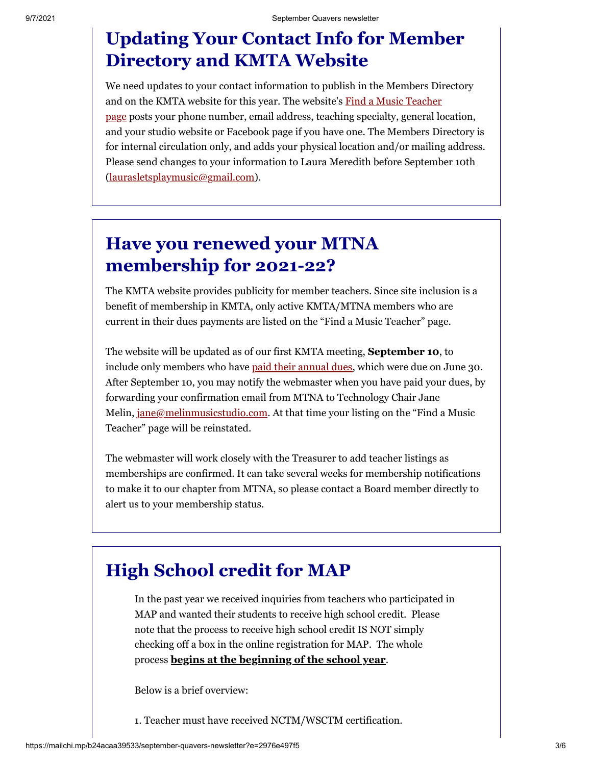# **Updating Your Contact Info for Member Directory and KMTA Website**

We need updates to your contact information to publish in the Members Directory and on the KMTA website for this year. The website's Find a Music Teacher page [posts your phone number, email address, teaching specialty, general lo](https://kitsapmusicteachers.org/teachers/)cation, and your studio website or Facebook page if you have one. The Members Directory is for internal circulation only, and adds your physical location and/or mailing address. Please send changes to your information to Laura Meredith before September 10th [\(laurasletsplaymusic@gmail.com](mailto:laurasletsplaymusic@gmail.com)).

# **Have you renewed your MTNA membership for 2021-22?**

The KMTA website provides publicity for member teachers. Since site inclusion is a benefit of membership in KMTA, only active KMTA/MTNA members who are current in their dues payments are listed on the "Find a Music Teacher" page.

The website will be updated as of our first KMTA meeting, **September 10**, to include only members who have [paid their annual dues](http://mtna.org/), which were due on June 30. After September 10, you may notify the webmaster when you have paid your dues, by forwarding your confirmation email from MTNA to Technology Chair Jane Melin, [jane@melinmusicstudio.com](mailto:jane@melinmusicstudio.com). At that time your listing on the "Find a Music Teacher" page will be reinstated.

The webmaster will work closely with the Treasurer to add teacher listings as memberships are confirmed. It can take several weeks for membership notifications to make it to our chapter from MTNA, so please contact a Board member directly to alert us to your membership status.

## **High School credit for MAP**

In the past year we received inquiries from teachers who participated in MAP and wanted their students to receive high school credit. Please note that the process to receive high school credit IS NOT simply checking off a box in the online registration for MAP. The whole process **begins at the beginning of the school year**.

Below is a brief overview:

1. Teacher must have received NCTM/WSCTM certification.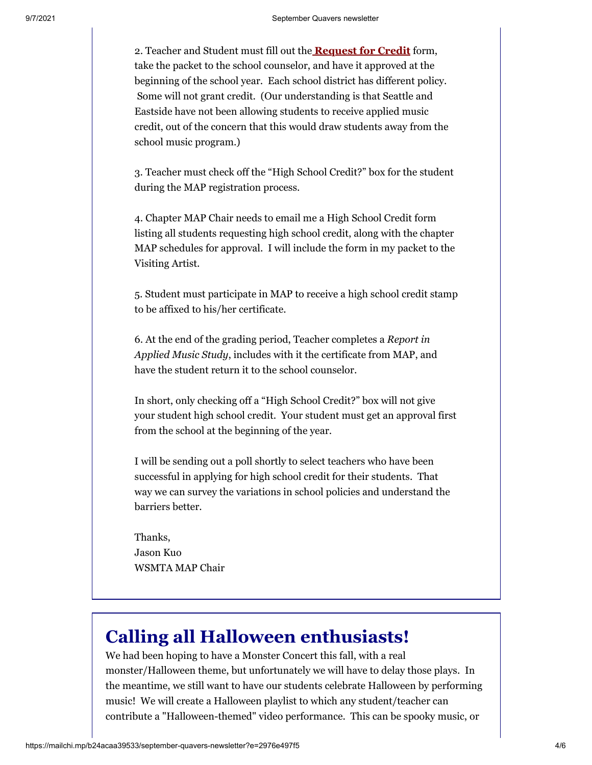2. Teacher and Student must fill out the **[Request for Credit](https://docs.google.com/document/d/1AOc9CGJ7mP9WMazT7YROSvWnhP2bfkOD/edit?usp=sharing&ouid=115662917481642438215&rtpof=true&sd=true)** form, take the packet to the school counselor, and have it approved at the beginning of the school year. Each school district has different policy. Some will not grant credit. (Our understanding is that Seattle and Eastside have not been allowing students to receive applied music credit, out of the concern that this would draw students away from the school music program.)

3. Teacher must check off the "High School Credit?" box for the student during the MAP registration process.

4. Chapter MAP Chair needs to email me a High School Credit form listing all students requesting high school credit, along with the chapter MAP schedules for approval. I will include the form in my packet to the Visiting Artist.

5. Student must participate in MAP to receive a high school credit stamp to be affixed to his/her certificate.

6. At the end of the grading period, Teacher completes a *Report in Applied Music Study*, includes with it the certificate from MAP, and have the student return it to the school counselor.

In short, only checking off a "High School Credit?" box will not give your student high school credit. Your student must get an approval first from the school at the beginning of the year.

I will be sending out a poll shortly to select teachers who have been successful in applying for high school credit for their students. That way we can survey the variations in school policies and understand the barriers better.

Thanks, Jason Kuo WSMTA MAP Chair

## **Calling all Halloween enthusiasts!**

We had been hoping to have a Monster Concert this fall, with a real monster/Halloween theme, but unfortunately we will have to delay those plays. In the meantime, we still want to have our students celebrate Halloween by performing music! We will create a Halloween playlist to which any student/teacher can contribute a "Halloween-themed" video performance. This can be spooky music, or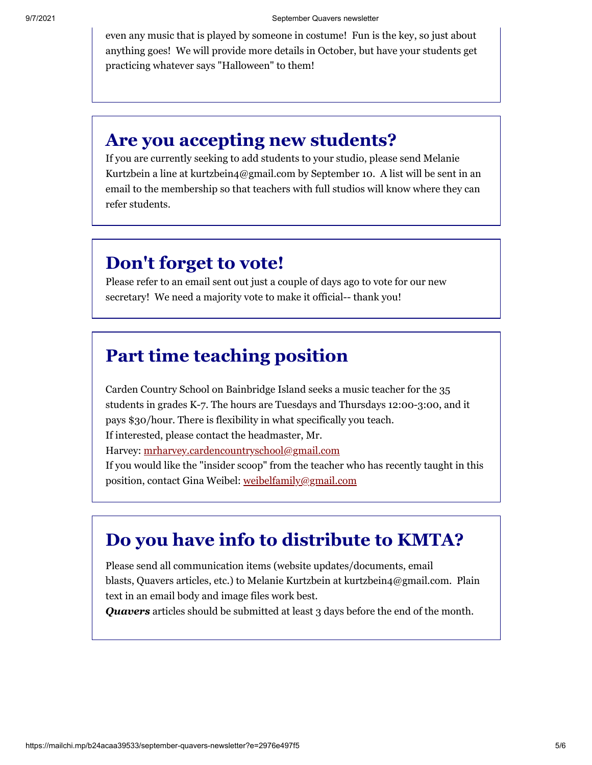even any music that is played by someone in costume! Fun is the key, so just about anything goes! We will provide more details in October, but have your students get practicing whatever says "Halloween" to them!

#### **Are you accepting new students?**

If you are currently seeking to add students to your studio, please send Melanie Kurtzbein a line at kurtzbein4@gmail.com by September 10. A list will be sent in an email to the membership so that teachers with full studios will know where they can refer students.

#### **Don't forget to vote!**

Please refer to an email sent out just a couple of days ago to vote for our new secretary! We need a majority vote to make it official-- thank you!

### **Part time teaching position**

Carden Country School on Bainbridge Island seeks a music teacher for the 35 students in grades K-7. The hours are Tuesdays and Thursdays 12:00-3:00, and it pays \$30/hour. There is flexibility in what specifically you teach. If interested, please contact the headmaster, Mr. Harvey: [mrharvey.cardencountryschool@gmail.com](mailto:mrharvey.cardencountryschool@gmail.com) If you would like the "insider scoop" from the teacher who has recently taught in this position, contact Gina Weibel: [weibelfamily@gmail.com](mailto:Weibelfamily@gmail.com)

## **Do you have info to distribute to KMTA?**

Please send all communication items (website updates/documents, email blasts, Quavers articles, etc.) to Melanie Kurtzbein at kurtzbein4@gmail.com. Plain text in an email body and image files work best.

*Quavers* articles should be submitted at least 3 days before the end of the month.